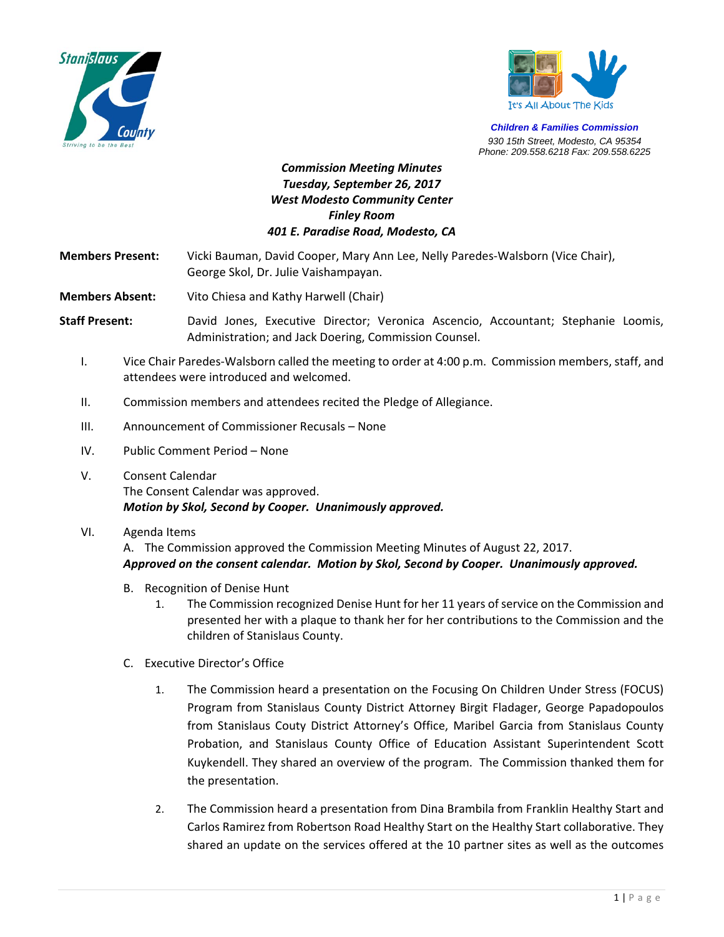



*Children & Families Commission 930 15th Street, Modesto, CA 95354 Phone: 209.558.6218 Fax: 209.558.6225*

## *Commission Meeting Minutes Tuesday, September 26, 2017 West Modesto Community Center Finley Room 401 E. Paradise Road, Modesto, CA*

**Members Present:**  Vicki Bauman, David Cooper, Mary Ann Lee, Nelly Paredes‐Walsborn (Vice Chair),  George Skol, Dr. Julie Vaishampayan.

**Members Absent:** Vito Chiesa and Kathy Harwell (Chair)

**Staff Present:** David Jones, Executive Director; Veronica Ascencio, Accountant; Stephanie Loomis, Administration; and Jack Doering, Commission Counsel.

- I. Vice Chair Paredes‐Walsborn called the meeting to order at 4:00 p.m. Commission members, staff, and attendees were introduced and welcomed.
- II. Commission members and attendees recited the Pledge of Allegiance.
- III. Announcement of Commissioner Recusals None
- IV. Public Comment Period None
- V. Consent Calendar The Consent Calendar was approved. *Motion by Skol, Second by Cooper. Unanimously approved.*
- VI. Agenda Items

A. The Commission approved the Commission Meeting Minutes of August 22, 2017. *Approved on the consent calendar. Motion by Skol, Second by Cooper. Unanimously approved.* 

- B. Recognition of Denise Hunt
	- 1. The Commission recognized Denise Hunt for her 11 years of service on the Commission and presented her with a plaque to thank her for her contributions to the Commission and the children of Stanislaus County.
- C. Executive Director's Office
	- 1. The Commission heard a presentation on the Focusing On Children Under Stress (FOCUS) Program from Stanislaus County District Attorney Birgit Fladager, George Papadopoulos from Stanislaus Couty District Attorney's Office, Maribel Garcia from Stanislaus County Probation, and Stanislaus County Office of Education Assistant Superintendent Scott Kuykendell. They shared an overview of the program. The Commission thanked them for the presentation.
	- 2. The Commission heard a presentation from Dina Brambila from Franklin Healthy Start and Carlos Ramirez from Robertson Road Healthy Start on the Healthy Start collaborative. They shared an update on the services offered at the 10 partner sites as well as the outcomes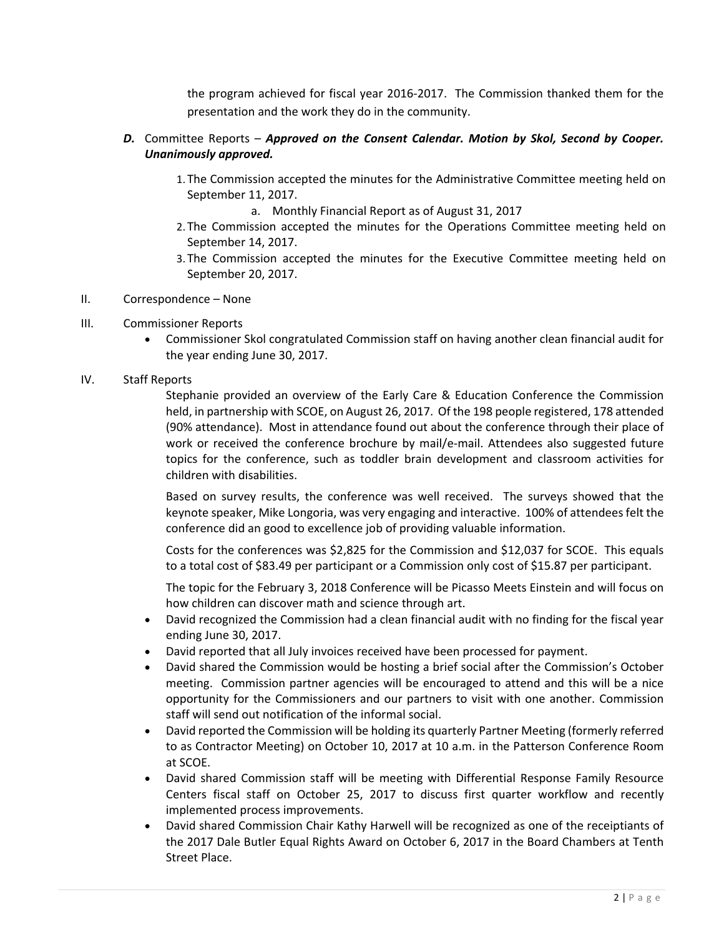the program achieved for fiscal year 2016‐2017. The Commission thanked them for the presentation and the work they do in the community.

## *D.* Committee Reports – *Approved on the Consent Calendar. Motion by Skol, Second by Cooper. Unanimously approved.*

- 1. The Commission accepted the minutes for the Administrative Committee meeting held on September 11, 2017.
	- a. Monthly Financial Report as of August 31, 2017
- 2. The Commission accepted the minutes for the Operations Committee meeting held on September 14, 2017.
- 3. The Commission accepted the minutes for the Executive Committee meeting held on September 20, 2017.
- II. Correspondence None

## III. Commissioner Reports

 Commissioner Skol congratulated Commission staff on having another clean financial audit for the year ending June 30, 2017.

## IV. Staff Reports

Stephanie provided an overview of the Early Care & Education Conference the Commission held, in partnership with SCOE, on August 26, 2017. Of the 198 people registered, 178 attended (90% attendance). Most in attendance found out about the conference through their place of work or received the conference brochure by mail/e-mail. Attendees also suggested future topics for the conference, such as toddler brain development and classroom activities for children with disabilities.

Based on survey results, the conference was well received. The surveys showed that the keynote speaker, Mike Longoria, was very engaging and interactive. 100% of attendees felt the conference did an good to excellence job of providing valuable information.

Costs for the conferences was \$2,825 for the Commission and \$12,037 for SCOE. This equals to a total cost of \$83.49 per participant or a Commission only cost of \$15.87 per participant.

The topic for the February 3, 2018 Conference will be Picasso Meets Einstein and will focus on how children can discover math and science through art.

- David recognized the Commission had a clean financial audit with no finding for the fiscal year ending June 30, 2017.
- David reported that all July invoices received have been processed for payment.
- David shared the Commission would be hosting a brief social after the Commission's October meeting. Commission partner agencies will be encouraged to attend and this will be a nice opportunity for the Commissioners and our partners to visit with one another. Commission staff will send out notification of the informal social.
- David reported the Commission will be holding its quarterly Partner Meeting (formerly referred to as Contractor Meeting) on October 10, 2017 at 10 a.m. in the Patterson Conference Room at SCOE.
- David shared Commission staff will be meeting with Differential Response Family Resource Centers fiscal staff on October 25, 2017 to discuss first quarter workflow and recently implemented process improvements.
- David shared Commission Chair Kathy Harwell will be recognized as one of the receiptiants of the 2017 Dale Butler Equal Rights Award on October 6, 2017 in the Board Chambers at Tenth Street Place.